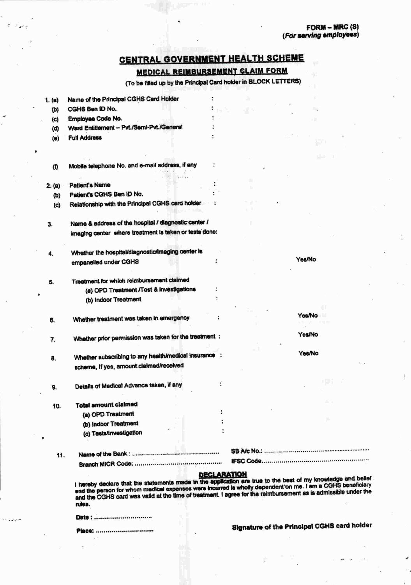# CENTRAL GOVERNMENT HEALTH SCHEME

**MEDICAL REIMBURSEMENT CLAIM FORM** 

(To be filled up by the Principal Card holder in BLOCK LETTERS)

| 1. (a)   | Name of the Principal CGHS Card Holder                                                              |                    |     |        |  |
|----------|-----------------------------------------------------------------------------------------------------|--------------------|-----|--------|--|
| (b)      | CGHS Ben ID No.                                                                                     |                    | чR. |        |  |
| (c)      | Employee Code No.                                                                                   |                    |     | ۰.     |  |
| (d)      | Ward Entitlement -- Pvt./Semi-Pvt./General                                                          |                    |     |        |  |
| $\Theta$ | <b>Full Address</b>                                                                                 |                    |     |        |  |
|          |                                                                                                     |                    |     |        |  |
| (f)      | Mobile telephone No. and e-mail address, if any                                                     |                    |     |        |  |
|          | <b>Collas</b>                                                                                       |                    |     |        |  |
| 2. (a)   | <b>Patient's Name</b>                                                                               |                    |     |        |  |
| (b)      | Patient's CGHS Ben ID No.                                                                           |                    |     |        |  |
| (c)      | Relationship with the Principal CGHS card holder                                                    |                    |     |        |  |
| 3.       | Name & address of the hospital / diagnostic center /                                                |                    |     |        |  |
|          | imaging center where treatment is taken or tests done:                                              |                    |     |        |  |
| 4.       | Whether the hospital/diagnostic/imaging center is                                                   |                    |     |        |  |
|          | empanelled under CGHS                                                                               |                    |     | Yes/No |  |
| 5.       | Treatment for which reimbursement claimed<br>(a) OPD Treatment /Test & investigations               |                    |     |        |  |
|          | (b) Indoor Treatment                                                                                |                    |     |        |  |
|          |                                                                                                     |                    |     | Yes/No |  |
| 6.       | Whether treatment was taken in emergency                                                            |                    |     |        |  |
| 7.       | Whether prior permission was taken for the treatment :                                              |                    |     | Yes/No |  |
| 8.       | Whether subscribing to any health/medical insurance :                                               |                    |     | Yes/No |  |
|          | scheme, If yes, amount claimed/received                                                             |                    |     |        |  |
| 9.       | Details of Medical Advance taken, if any                                                            | ÷                  |     |        |  |
| 10.      | <b>Total amount claimed</b>                                                                         |                    |     |        |  |
|          | (a) OPD Treatment                                                                                   |                    |     |        |  |
|          | (b) Indoor Treatment                                                                                |                    |     |        |  |
|          | (c) Tests/Investigation                                                                             |                    |     |        |  |
|          |                                                                                                     |                    |     |        |  |
| 11.      |                                                                                                     |                    |     |        |  |
|          | If deglars that the statements made in the anolication are true to the best of my knowledge and bet | <b>DECLARATION</b> |     |        |  |

ief I hereby declare that the statements made in the exploration and the south of the CGHS beneficiary<br>and the person for whom medical expenses were incurred is wholly dependent on me. I am a CGHS beneficiary<br>and the CGHS card rules.

Date: ..........................

Place: ..................

Signature of the Principal CGHS card holder